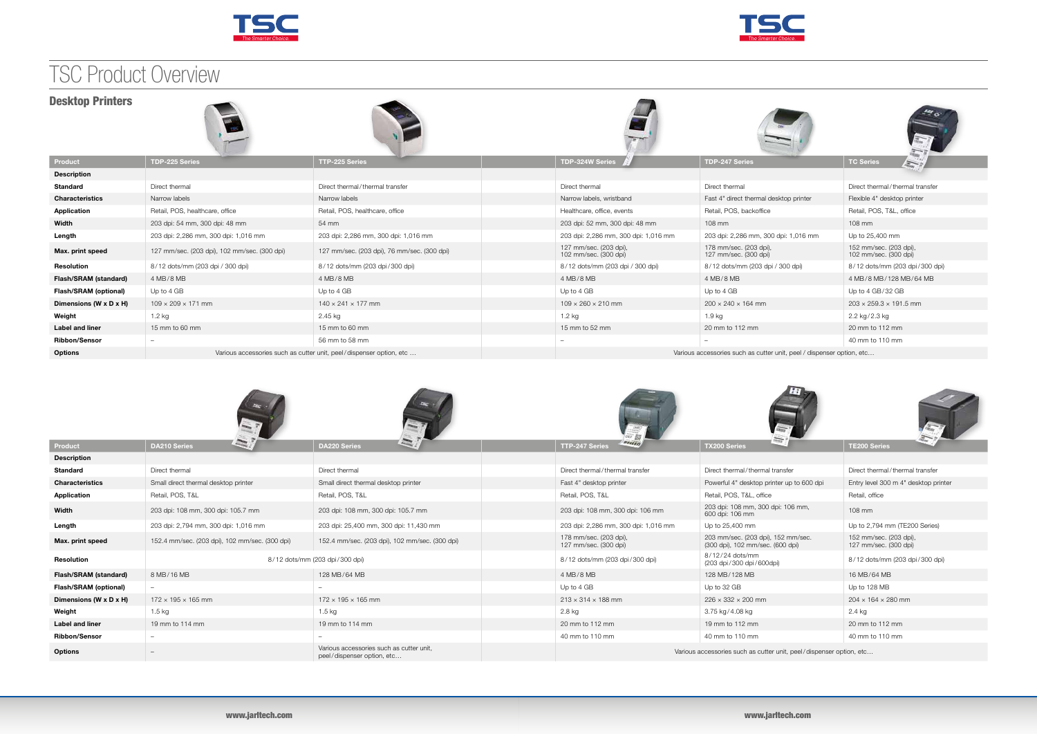





|                                      |                                                |                                                                        | 0eF                                                                 | $\frac{1}{2\sqrt{2}}$                                                  | $\frac{1}{4a}$ = $\frac{1}{2}$                  |  |  |
|--------------------------------------|------------------------------------------------|------------------------------------------------------------------------|---------------------------------------------------------------------|------------------------------------------------------------------------|-------------------------------------------------|--|--|
| Product                              | $\approx$<br><b>DA210 Series</b>               | $\approx$<br><b>DA220 Series</b>                                       | <b>BILLIN</b><br>TTP-247 Series                                     | <b>TX200 Series</b>                                                    | <b>TE200 Series</b>                             |  |  |
| <b>Description</b>                   |                                                |                                                                        |                                                                     |                                                                        |                                                 |  |  |
| <b>Standard</b>                      | Direct thermal                                 | Direct thermal                                                         | Direct thermal/thermal transfer                                     | Direct thermal/thermal transfer                                        | Direct thermal/thermal transfer                 |  |  |
| <b>Characteristics</b>               | Small direct thermal desktop printer           | Small direct thermal desktop printer                                   | Fast 4" desktop printer                                             | Powerful 4" desktop printer up to 600 dpi                              | Entry level 300 m 4" desktop printer            |  |  |
| Application                          | Retail, POS, T&L                               | Retail, POS, T&L                                                       | Retail, POS, T&L                                                    | Retail, POS, T&L, office                                               | Retail, office                                  |  |  |
| Width                                | 203 dpi: 108 mm, 300 dpi: 105.7 mm             | 203 dpi: 108 mm, 300 dpi: 105.7 mm                                     | 203 dpi: 108 mm, 300 dpi: 106 mm                                    | 203 dpi: 108 mm, 300 dpi: 106 mm,<br>600 dpi: 106 mm                   | 108 mm                                          |  |  |
| Length                               | 203 dpi: 2,794 mm, 300 dpi: 1,016 mm           | 203 dpi: 25,400 mm, 300 dpi: 11,430 mm                                 | 203 dpi: 2,286 mm, 300 dpi: 1,016 mm                                | Up to 25,400 mm                                                        | Up to 2,794 mm (TE200 Series)                   |  |  |
| Max. print speed                     | 152.4 mm/sec. (203 dpi), 102 mm/sec. (300 dpi) | 152.4 mm/sec. (203 dpi), 102 mm/sec. (300 dpi)                         | 178 mm/sec. (203 dpi),<br>127 mm/sec. (300 dpi)                     | 203 mm/sec. (203 dpi), 152 mm/sec.<br>(300 dpi), 102 mm/sec. (600 dpi) | 152 mm/sec. (203 dpi),<br>127 mm/sec. (300 dpi) |  |  |
| Resolution                           |                                                | 8/12 dots/mm (203 dpi/300 dpi)                                         | 8/12 dots/mm (203 dpi/300 dpi)                                      | 8/12/24 dots/mm<br>(203 dpi/300 dpi/600dpi)                            | 8/12 dots/mm (203 dpi/300 dpi)                  |  |  |
| Flash/SRAM (standard)                | 8 MB/16 MB                                     | 128 MB/64 MB                                                           | 4 MB/8 MB                                                           | 128 MB/128 MB                                                          | 16 MB/64 MB                                     |  |  |
| <b>Flash/SRAM (optional)</b>         |                                                |                                                                        | Up to 4 GB                                                          | Up to 32 GB                                                            | Up to 128 MB                                    |  |  |
| Dimensions (W $\times$ D $\times$ H) | $172 \times 195 \times 165$ mm                 | $172 \times 195 \times 165$ mm                                         | $213 \times 314 \times 188$ mm                                      | $226 \times 332 \times 200$ mm                                         | $204 \times 164 \times 280$ mm                  |  |  |
| Weight                               | 1.5 kg                                         | 1.5 kg                                                                 | 2.8 kg                                                              | 3.75 kg/4.08 kg                                                        | 2.4 kg                                          |  |  |
| <b>Label and liner</b>               | 19 mm to 114 mm                                | 19 mm to 114 mm                                                        | 20 mm to 112 mm                                                     | 19 mm to 112 mm                                                        | 20 mm to 112 mm                                 |  |  |
| <b>Ribbon/Sensor</b>                 | $\frac{1}{2}$                                  |                                                                        | 40 mm to 110 mm                                                     | 40 mm to 110 mm                                                        | 40 mm to 110 mm                                 |  |  |
| <b>Options</b>                       | $-$                                            | Various accessories such as cutter unit.<br>peel/dispenser option, etc | Various accessories such as cutter unit, peel/dispenser option, etc |                                                                        |                                                 |  |  |

| <b>Desktop Printers</b>              | <b>COL</b>                                                          |                                             |                                                                       |                                                 |                                                 | $M_{\odot}$                                     |
|--------------------------------------|---------------------------------------------------------------------|---------------------------------------------|-----------------------------------------------------------------------|-------------------------------------------------|-------------------------------------------------|-------------------------------------------------|
| Product                              | <b>TDP-225 Series</b>                                               | <b>TTP-225 Series</b>                       | TDP-324W Series                                                       |                                                 | <b>TDP-247 Series</b>                           | <b>TC Series</b>                                |
| <b>Description</b>                   |                                                                     |                                             |                                                                       |                                                 |                                                 |                                                 |
| <b>Standard</b>                      | Direct thermal                                                      | Direct thermal/thermal transfer             | Direct thermal                                                        |                                                 | Direct thermal                                  | Direct thermal/thermal transfer                 |
| <b>Characteristics</b>               | Narrow labels                                                       | Narrow labels                               |                                                                       | Narrow labels, wristband                        | Fast 4" direct thermal desktop printer          | Flexible 4" desktop printer                     |
| Application                          | Retail, POS, healthcare, office                                     | Retail, POS, healthcare, office             |                                                                       | Healthcare, office, events                      | Retail, POS, backoffice                         | Retail, POS, T&L, office                        |
| Width                                | 203 dpi: 54 mm, 300 dpi: 48 mm                                      | 54 mm                                       |                                                                       | 203 dpi: 52 mm, 300 dpi: 48 mm                  | 108 mm                                          | 108 mm                                          |
| Length                               | 203 dpi: 2,286 mm, 300 dpi: 1,016 mm                                | 203 dpi: 2,286 mm, 300 dpi: 1,016 mm        |                                                                       | 203 dpi: 2,286 mm, 300 dpi: 1,016 mm            | 203 dpi: 2,286 mm, 300 dpi: 1,016 mm            | Up to 25,400 mm                                 |
| Max. print speed                     | 127 mm/sec. (203 dpi), 102 mm/sec. (300 dpi)                        | 127 mm/sec. (203 dpi), 76 mm/sec. (300 dpi) |                                                                       | 127 mm/sec. (203 dpi),<br>102 mm/sec. (300 dpi) | 178 mm/sec. (203 dpi),<br>127 mm/sec. (300 dpi) | 152 mm/sec. (203 dpi),<br>102 mm/sec. (300 dpi) |
| Resolution                           | 8/12 dots/mm (203 dpi / 300 dpi)                                    | 8/12 dots/mm (203 dpi/300 dpi)              |                                                                       | 8/12 dots/mm (203 dpi / 300 dpi)                | 8/12 dots/mm (203 dpi / 300 dpi)                | 8/12 dots/mm (203 dpi/300 dpi)                  |
| Flash/SRAM (standard)                | 4 MB/8 MB                                                           | 4 MB/8 MB                                   | 4 MB/8 MB                                                             |                                                 | 4 MB/8 MB                                       | 4 MB/8 MB/128 MB/64 MB                          |
| Flash/SRAM (optional)                | Up to 4 GB                                                          | Up to 4 GB                                  | Up to 4 GB                                                            |                                                 | Up to 4 GB                                      | Up to 4 GB/32 GB                                |
| Dimensions (W $\times$ D $\times$ H) | $109 \times 209 \times 171$ mm                                      | $140 \times 241 \times 177$ mm              | $109 \times 260 \times 210$ mm                                        |                                                 | $200 \times 240 \times 164$ mm                  | $203 \times 259.3 \times 191.5$ mm              |
| Weight                               | 1.2 kg                                                              | 2.45 kg                                     | 1.2 kg                                                                |                                                 | 1.9 kg                                          | 2.2 kg/2.3 kg                                   |
| <b>Label and liner</b>               | 15 mm to 60 mm                                                      | 15 mm to 60 mm                              | 15 mm to 52 mm                                                        |                                                 | 20 mm to 112 mm                                 | 20 mm to 112 mm                                 |
| <b>Ribbon/Sensor</b>                 | $\hspace{0.1mm}-\hspace{0.1mm}$                                     | 56 mm to 58 mm                              |                                                                       |                                                 |                                                 | 40 mm to 110 mm                                 |
| <b>Options</b>                       | Various accessories such as cutter unit, peel/dispenser option, etc |                                             | Various accessories such as cutter unit, peel / dispenser option, etc |                                                 |                                                 |                                                 |











## TSC Product Overview

### **Desktop Printers**